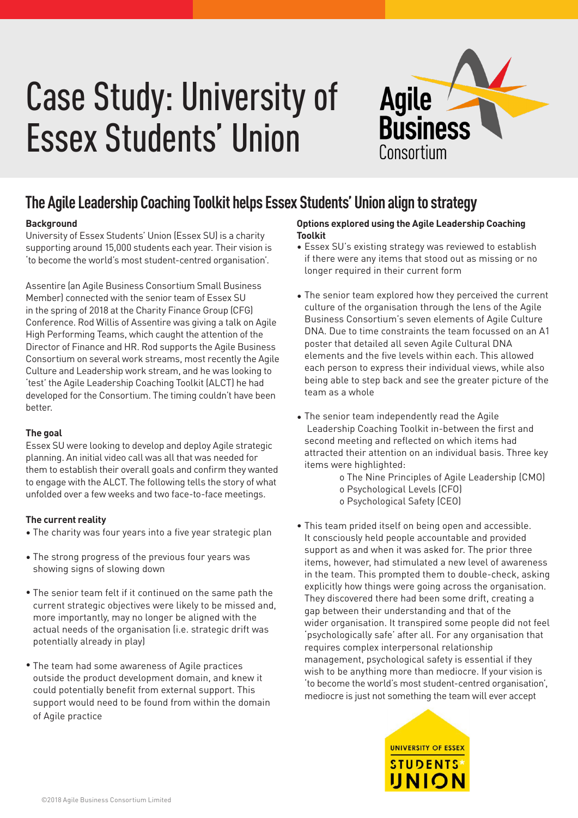# Case Study: University of Essex Students' Union



### **The Agile Leadership Coaching Toolkit helps Essex Students' Union align to strategy**

#### **Background**

University of Essex Students' Union (Essex SU) is a charity supporting around 15,000 students each year. Their vision is 'to become the world's most student-centred organisation'.

Assentire (an Agile Business Consortium Small Business Member) connected with the senior team of Essex SU in the spring of 2018 at the Charity Finance Group (CFG) Conference. Rod Willis of Assentire was giving a talk on Agile High Performing Teams, which caught the attention of the Director of Finance and HR. Rod supports the Agile Business Consortium on several work streams, most recently the Agile Culture and Leadership work stream, and he was looking to 'test' the Agile Leadership Coaching Toolkit (ALCT) he had developed for the Consortium. The timing couldn't have been better.

#### **The goal**

Essex SU were looking to develop and deploy Agile strategic planning. An initial video call was all that was needed for them to establish their overall goals and confirm they wanted to engage with the ALCT. The following tells the story of what unfolded over a few weeks and two face-to-face meetings.

#### **The current reality**

- The charity was four years into a five year strategic plan •
- The strong progress of the previous four years was showing signs of slowing down
- The senior team felt if it continued on the same path the current strategic objectives were likely to be missed and, more importantly, may no longer be aligned with the actual needs of the organisation (i.e. strategic drift was potentially already in play)
- The team had some awareness of Agile practices outside the product development domain, and knew it could potentially benefit from external support. This support would need to be found from within the domain of Agile practice

#### **Options explored using the Agile Leadership Coaching Toolkit**

- Essex SU's existing strategy was reviewed to establish if there were any items that stood out as missing or no longer required in their current form
- The senior team explored how they perceived the current culture of the organisation through the lens of the Agile Business Consortium's seven elements of Agile Culture DNA. Due to time constraints the team focussed on an A1 poster that detailed all seven Agile Cultural DNA elements and the five levels within each. This allowed each person to express their individual views, while also being able to step back and see the greater picture of the team as a whole
- The senior team independently read the Agile Leadership Coaching Toolkit in-between the first and second meeting and reflected on which items had attracted their attention on an individual basis. Three key items were highlighted:

o The Nine Principles of Agile Leadership (CMO) o Psychological Levels (CFO) o Psychological Safety (CEO)

This team prided itself on being open and accessible. •It consciously held people accountable and provided support as and when it was asked for. The prior three items, however, had stimulated a new level of awareness in the team. This prompted them to double-check, asking explicitly how things were going across the organisation. They discovered there had been some drift, creating a gap between their understanding and that of the wider organisation. It transpired some people did not feel 'psychologically safe' after all. For any organisation that requires complex interpersonal relationship management, psychological safety is essential if they wish to be anything more than mediocre. If your vision is 'to become the world's most student-centred organisation', mediocre is just not something the team will ever accept